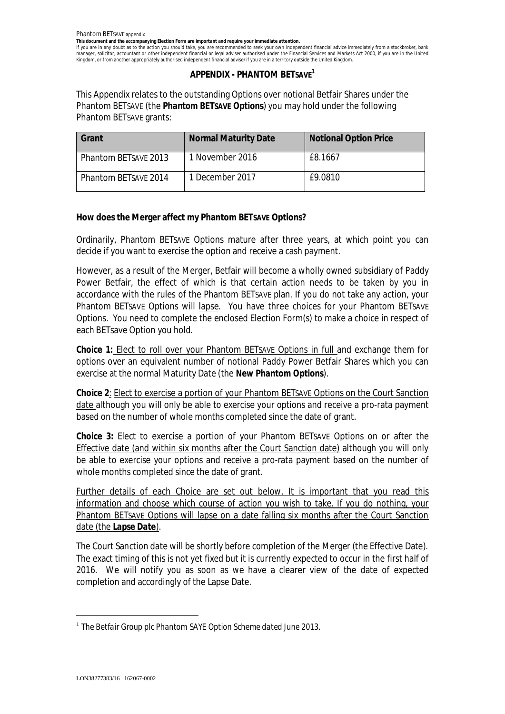**This document and the accompanying Election Form are important and require your immediate attention.**

If you are in any doubt as to the action you should take, you are recommended to seek your own independent financial advice immediately from a stockbroker, bank manager, solicitor, accountant or other independent financial or legal adviser authorised under the Financial Services and Markets Act 2000, if you are in the United Kingdom, or from another appropriately authorised independent financial adviser if you are in a territory outside the United Kingdom.

# **APPENDIX - PHANTOM BETSAVE<sup>1</sup>**

This Appendix relates to the outstanding Options over notional Betfair Shares under the Phantom BETSAVE (the *Phantom BETSAVE Options*) you may hold under the following Phantom BETSAVE grants:

| Grant                       | <b>Normal Maturity Date</b> | <b>Notional Option Price</b> |
|-----------------------------|-----------------------------|------------------------------|
| Phantom BETSAVE 2013        | 1 November 2016             | £8.1667                      |
| <b>Phantom BETSAVE 2014</b> | 1 December 2017             | £9.0810                      |

**How does the Merger affect my Phantom BETSAVE Options?**

Ordinarily, Phantom BETSAVE Options mature after three years, at which point you can decide if you want to exercise the option and receive a cash payment.

However, as a result of the Merger, Betfair will become a wholly owned subsidiary of Paddy Power Betfair, the effect of which is that certain action needs to be taken by you in accordance with the rules of the Phantom BETSAVE plan. If you do not take any action, your Phantom BETSAVE Options will lapse. You have three choices for your Phantom BETSAVE Options. You need to complete the enclosed Election Form(s) to make a choice in respect of each BETsave Option you hold.

**Choice 1:** Elect to roll over your Phantom BETSAVE Options in full and exchange them for options over an equivalent number of notional Paddy Power Betfair Shares which you can exercise at the normal Maturity Date (the *New Phantom Options*).

**Choice 2**: Elect to exercise a portion of your Phantom BETSAVE Options on the Court Sanction date although you will only be able to exercise your options and receive a pro-rata payment based on the number of whole months completed since the date of grant.

**Choice 3:** Elect to exercise a portion of your Phantom BETSAVE Options on or after the Effective date (and within six months after the Court Sanction date) although you will only be able to exercise your options and receive a pro-rata payment based on the number of whole months completed since the date of grant.

Further details of each Choice are set out below. It is important that you read this information and choose which course of action you wish to take. If you do nothing, your Phantom BETSAVE Options will lapse on a date falling six months after the Court Sanction date (the *Lapse Date*).

The Court Sanction date will be shortly before completion of the Merger (the Effective Date). The exact timing of this is not yet fixed but it is currently expected to occur in the first half of 2016. We will notify you as soon as we have a clearer view of the date of expected completion and accordingly of the Lapse Date.

<sup>1</sup> *The Betfair Group plc Phantom SAYE Option Scheme dated June 2013.*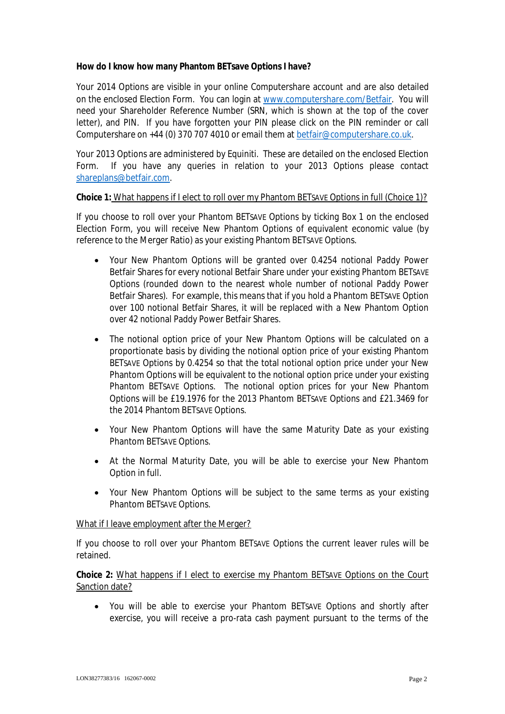**How do I know how many Phantom BETsave Options I have?**

Your 2014 Options are visible in your online Computershare account and are also detailed on the enclosed Election Form. You can login at www.computershare.com/Betfair. You will need your Shareholder Reference Number (SRN, which is shown at the top of the cover letter), and PIN. If you have forgotten your PIN please click on the PIN reminder or call Computershare on +44 (0) 370 707 4010 or email them at betfair@computershare.co.uk.

Your 2013 Options are administered by Equiniti. These are detailed on the enclosed Election Form. If you have any queries in relation to your 2013 Options please contact shareplans@betfair.com.

## **Choice 1:** What happens if I elect to roll over my Phantom BETSAVE Options in full (Choice 1)?

If you choose to roll over your Phantom BETSAVE Options by ticking Box 1 on the enclosed Election Form, you will receive New Phantom Options of equivalent economic value (by reference to the Merger Ratio) as your existing Phantom BETSAVE Options.

- · Your New Phantom Options will be granted over 0.4254 notional Paddy Power Betfair Shares for every notional Betfair Share under your existing Phantom BETSAVE Options (rounded down to the nearest whole number of notional Paddy Power Betfair Shares). For example, this means that if you hold a Phantom BETSAVE Option over 100 notional Betfair Shares, it will be replaced with a New Phantom Option over 42 notional Paddy Power Betfair Shares.
- The notional option price of your New Phantom Options will be calculated on a proportionate basis by dividing the notional option price of your existing Phantom BETSAVE Options by 0.4254 so that the total notional option price under your New Phantom Options will be equivalent to the notional option price under your existing Phantom BETSAVE Options. The notional option prices for your New Phantom Options will be £19.1976 for the 2013 Phantom BETSAVE Options and £21.3469 for the 2014 Phantom BETSAVE Options.
- · Your New Phantom Options will have the same Maturity Date as your existing Phantom BETSAVE Options.
- · At the Normal Maturity Date, you will be able to exercise your New Phantom Option in full.
- · Your New Phantom Options will be subject to the same terms as your existing Phantom BETSAVE Options.

#### What if I leave employment after the Merger?

If you choose to roll over your Phantom BETSAVE Options the current leaver rules will be retained.

**Choice 2:** What happens if I elect to exercise my Phantom BETSAVE Options on the Court Sanction date?

· You will be able to exercise your Phantom BETSAVE Options and shortly after exercise, you will receive a pro-rata cash payment pursuant to the terms of the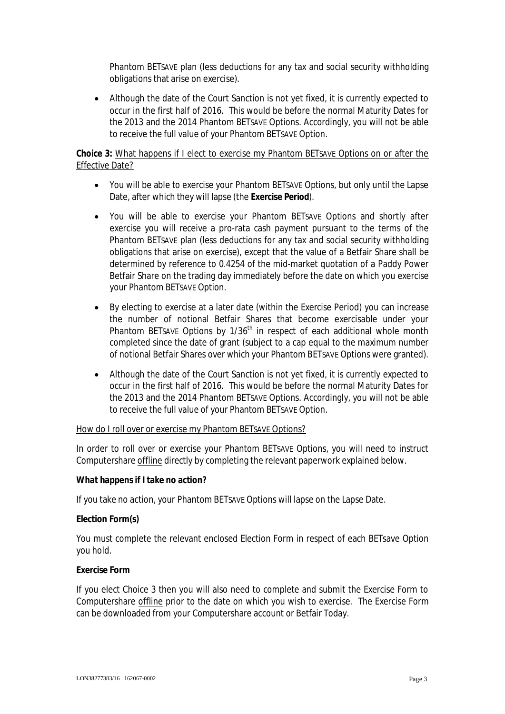Phantom BETSAVE plan (less deductions for any tax and social security withholding obligations that arise on exercise).

· Although the date of the Court Sanction is not yet fixed, it is currently expected to occur in the first half of 2016. This would be before the normal Maturity Dates for the 2013 and the 2014 Phantom BETSAVE Options. Accordingly, you will not be able to receive the full value of your Phantom BETSAVE Option.

# **Choice 3:** What happens if I elect to exercise my Phantom BETSAVE Options on or after the Effective Date?

- · You will be able to exercise your Phantom BETSAVE Options, but only until the Lapse Date, after which they will lapse (the *Exercise Period*).
- · You will be able to exercise your Phantom BETSAVE Options and shortly after exercise you will receive a pro-rata cash payment pursuant to the terms of the Phantom BETSAVE plan (less deductions for any tax and social security withholding obligations that arise on exercise), except that the value of a Betfair Share shall be determined by reference to 0.4254 of the mid-market quotation of a Paddy Power Betfair Share on the trading day immediately before the date on which you exercise your Phantom BETSAVE Option.
- By electing to exercise at a later date (within the Exercise Period) you can increase the number of notional Betfair Shares that become exercisable under your Phantom BETSAVE Options by 1/36<sup>th</sup> in respect of each additional whole month completed since the date of grant (subject to a cap equal to the maximum number of notional Betfair Shares over which your Phantom BETSAVE Options were granted).
- Although the date of the Court Sanction is not yet fixed, it is currently expected to occur in the first half of 2016. This would be before the normal Maturity Dates for the 2013 and the 2014 Phantom BETSAVE Options. Accordingly, you will not be able to receive the full value of your Phantom BETSAVE Option.

#### How do I roll over or exercise my Phantom BETSAVE Options?

In order to roll over or exercise your Phantom BETSAVE Options, you will need to instruct Computershare offline directly by completing the relevant paperwork explained below.

**What happens if I take no action?**

If you take no action, your Phantom BETSAVE Options will lapse on the Lapse Date.

**Election Form(s)**

You must complete the relevant enclosed Election Form in respect of each BETsave Option you hold.

#### **Exercise Form**

If you elect Choice 3 then you will also need to complete and submit the Exercise Form to Computershare offline prior to the date on which you wish to exercise. The Exercise Form can be downloaded from your Computershare account or Betfair Today.